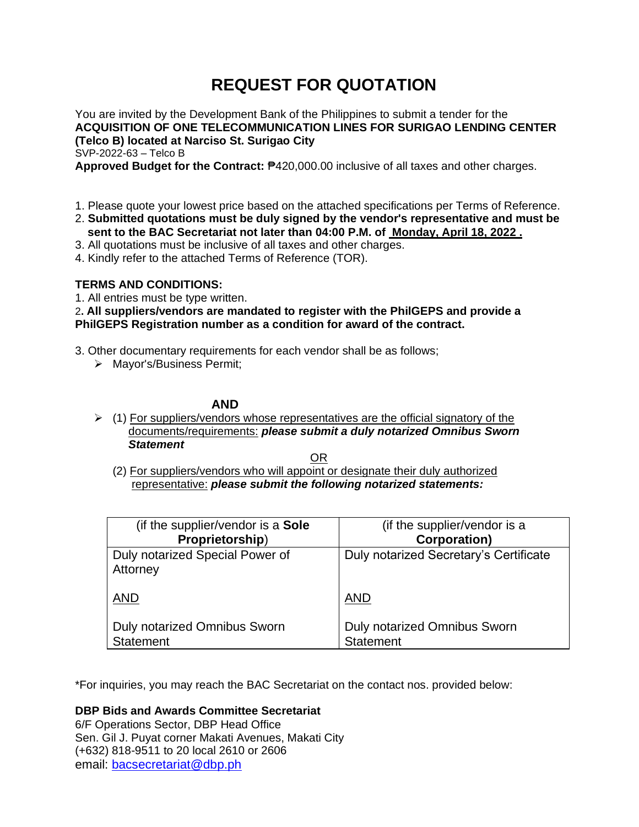# **REQUEST FOR QUOTATION**

You are invited by the Development Bank of the Philippines to submit a tender for the **ACQUISITION OF ONE TELECOMMUNICATION LINES FOR SURIGAO LENDING CENTER (Telco B) located at Narciso St. Surigao City** SVP-2022-63 – Telco B

**Approved Budget for the Contract:** ₱420,000.00 inclusive of all taxes and other charges.

- 1. Please quote your lowest price based on the attached specifications per Terms of Reference.
- 2. **Submitted quotations must be duly signed by the vendor's representative and must be sent to the BAC Secretariat not later than 04:00 P.M. of Monday, April 18, 2022 .**
- 3. All quotations must be inclusive of all taxes and other charges.
- 4. Kindly refer to the attached Terms of Reference (TOR).

# **TERMS AND CONDITIONS:**

1. All entries must be type written.

2**. All suppliers/vendors are mandated to register with the PhilGEPS and provide a PhilGEPS Registration number as a condition for award of the contract.**

- 3. Other documentary requirements for each vendor shall be as follows;
	- ➢ Mayor's/Business Permit;

# **AND**

 $\triangleright$  (1) For suppliers/vendors whose representatives are the official signatory of the documents/requirements: *please submit a duly notarized Omnibus Sworn Statement*

<u>OR Starting and the Starting OR Starting</u>

(2) For suppliers/vendors who will appoint or designate their duly authorized representative: *please submit the following notarized statements:*

| (if the supplier/vendor is a <b>Sole</b>    | (if the supplier/vendor is a           |
|---------------------------------------------|----------------------------------------|
| Proprietorship)                             | <b>Corporation)</b>                    |
| Duly notarized Special Power of<br>Attorney | Duly notarized Secretary's Certificate |
| <b>AND</b>                                  | <b>AND</b>                             |
| <b>Duly notarized Omnibus Sworn</b>         | <b>Duly notarized Omnibus Sworn</b>    |
| Statement                                   | Statement                              |

\*For inquiries, you may reach the BAC Secretariat on the contact nos. provided below:

# **DBP Bids and Awards Committee Secretariat**

6/F Operations Sector, DBP Head Office Sen. Gil J. Puyat corner Makati Avenues, Makati City (+632) 818-9511 to 20 local 2610 or 2606 email: [bacsecretariat@dbp.ph](mailto:bacsecretariat@dbp.ph)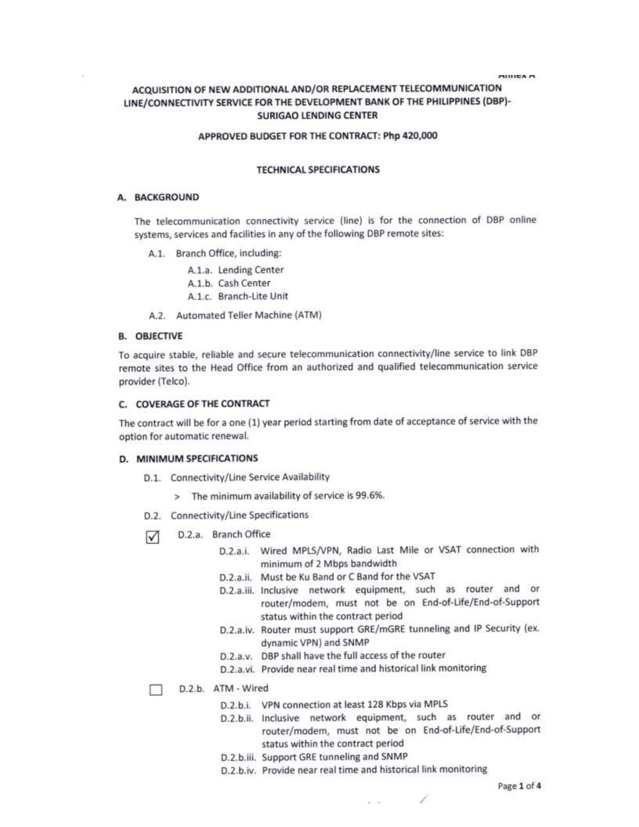**MILICA M** 

# ACQUISITION OF NEW ADDITIONAL AND/OR REPLACEMENT TELECOMMUNICATION LINE/CONNECTIVITY SERVICE FOR THE DEVELOPMENT BANK OF THE PHILIPPINES (DBP)-**SURIGAO LENDING CENTER**

### APPROVED BUDGET FOR THE CONTRACT: Php 420,000

### **TECHNICAL SPECIFICATIONS**

#### A. BACKGROUND

The telecommunication connectivity service (line) is for the connection of DBP online systems, services and facilities in any of the following DBP remote sites:

A.1. Branch Office, including:

A.1.a. Lending Center A.1.b. Cash Center A.1.c. Branch-Lite Unit

A.2. Automated Teller Machine (ATM)

#### **B. OBJECTIVE**

To acquire stable, reliable and secure telecommunication connectivity/line service to link DBP remote sites to the Head Office from an authorized and qualified telecommunication service provider (Telco).

## C. COVERAGE OF THE CONTRACT

The contract will be for a one (1) year period starting from date of acceptance of service with the option for automatic renewal.

#### D. MINIMUM SPECIFICATIONS

- D.1. Connectivity/Line Service Availability
	- > The minimum availability of service is 99.6%.
- D.2. Connectivity/Line Specifications
- D.2.a. Branch Office  $\triangledown$ 
	- D.2.a.i. Wired MPLS/VPN, Radio Last Mile or VSAT connection with minimum of 2 Mbps bandwidth
	- D.2.a.ii. Must be Ku Band or C Band for the VSAT
	- D.2.a.iii. Inclusive network equipment, such as router and or router/modem, must not be on End-of-Life/End-of-Support status within the contract period
	- D.2.a.iv. Router must support GRE/mGRE tunneling and IP Security (ex. dynamic VPN) and SNMP
	- D.2.a.v. DBP shall have the full access of the router
	- D.2.a.vi. Provide near real time and historical link monitoring

D.2.b. ATM - Wired

- D.2.b.i. VPN connection at least 128 Kbps via MPLS
- D.2.b.ii. Inclusive network equipment, such as router and or router/modem, must not be on End-of-Life/End-of-Support status within the contract period
- D.2.b.iii. Support GRE tunneling and SNMP
- D.2.b.iv. Provide near real time and historical link monitoring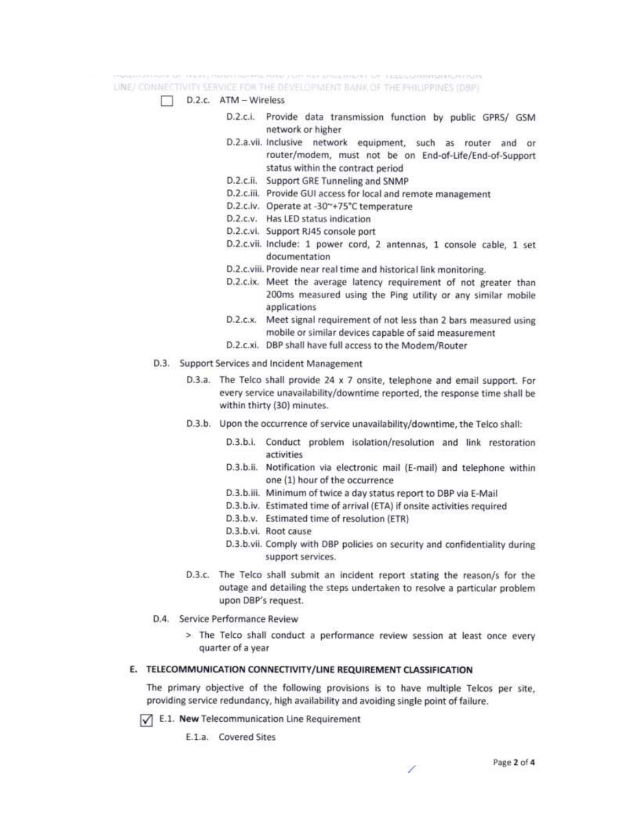LINE/ CONNECTIVITY SERVICE FOR THE DEVELOPMENT BANK OF THE PHILIPPINES (DBP)

# D.2.c. ATM - Wireless

- D.2.c.i. Provide data transmission function by public GPRS/ GSM network or higher
- D.2.a.vii. Inclusive network equipment, such as router and or router/modem, must not be on End-of-Life/End-of-Support status within the contract period
- D.2.c.ii. Support GRE Tunneling and SNMP
- D.2.c.iii. Provide GUI access for local and remote management
- D.2.c.iv. Operate at -30"+75°C temperature
- D.2.c.v. Has LED status indication
- D.2.c.vi. Support RJ45 console port
- D.2.c.vii. Include: 1 power cord, 2 antennas, 1 console cable, 1 set documentation
- D.2.c.viii. Provide near real time and historical link monitoring.
- D.2.c.ix. Meet the average latency requirement of not greater than 200ms measured using the Ping utility or any similar mobile applications
- D.2.c.x. Meet signal requirement of not less than 2 bars measured using mobile or similar devices capable of said measurement
- D.2.c.xi. DBP shall have full access to the Modem/Router
- D.3. Support Services and Incident Management
	- D.3.a. The Telco shall provide 24 x 7 onsite, telephone and email support. For every service unavailability/downtime reported, the response time shall be within thirty (30) minutes.
	- D.3.b. Upon the occurrence of service unavailability/downtime, the Telco shall:
		- D.3.b.i. Conduct problem isolation/resolution and link restoration activities
		- D.3.b.ii. Notification via electronic mail (E-mail) and telephone within one (1) hour of the occurrence
		- D.3.b.iii. Minimum of twice a day status report to DBP via E-Mail
		- D.3.b.iv. Estimated time of arrival (ETA) if onsite activities required
		- D.3.b.v. Estimated time of resolution (ETR)
		- D.3.b.vi. Root cause
		- D.3.b.vii. Comply with DBP policies on security and confidentiality during support services.
	- D.3.c. The Telco shall submit an incident report stating the reason/s for the outage and detailing the steps undertaken to resolve a particular problem upon DBP's request.
- D.4. Service Performance Review
	- > The Telco shall conduct a performance review session at least once every quarter of a year

# E. TELECOMMUNICATION CONNECTIVITY/LINE REQUIREMENT CLASSIFICATION

The primary objective of the following provisions is to have multiple Telcos per site. providing service redundancy, high availability and avoiding single point of failure.

 $\sqrt{\phantom{a}}$  E.1. New Telecommunication Line Requirement

E.1.a. Covered Sites

7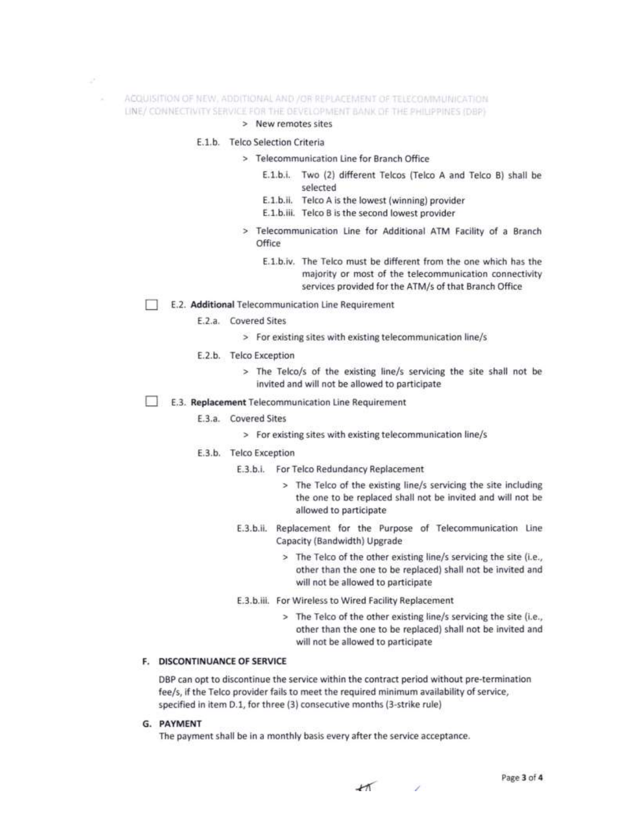- ACQUISITION OF NEW, ADDITIONAL AND /OR REPLACEMENT OF TELECONIMUNICATION LINE/ CONNECTIVITY SERVICE FOR THE DEVELOPMENT BANK OF THE PHILIPPINES (DBP)
	- > New remotes sites

### E.1.b. Telco Selection Criteria

z, x

- > Telecommunication Line for Branch Office
	- E.1.b.i. Two (2) different Telcos (Telco A and Telco B) shall be selected
	- E.1.b.ii. Telco A is the lowest (winning) provider
	- E.1.b.iii. Telco B is the second lowest provider
- > Telecommunication Line for Additional ATM Facility of a Branch Office
	- E.1.b.iv. The Telco must be different from the one which has the majority or most of the telecommunication connectivity services provided for the ATM/s of that Branch Office
- E.2. Additional Telecommunication Line Requirement
	- E.2.a. Covered Sites
		- > For existing sites with existing telecommunication line/s

#### E.2.b. Telco Exception

- > The Telco/s of the existing line/s servicing the site shall not be invited and will not be allowed to participate
- E.3. Replacement Telecommunication Line Requirement

#### E.3.a. Covered Sites

- > For existing sites with existing telecommunication line/s
- E.3.b. Telco Exception
	- E.3.b.i. For Telco Redundancy Replacement
		- > The Telco of the existing line/s servicing the site including the one to be replaced shall not be invited and will not be allowed to participate
	- E.3.b.ii. Replacement for the Purpose of Telecommunication Line Capacity (Bandwidth) Upgrade
		- > The Telco of the other existing line/s servicing the site (i.e., other than the one to be replaced) shall not be invited and will not be allowed to participate
	- E.3.b.iii. For Wireless to Wired Facility Replacement
		- > The Telco of the other existing line/s servicing the site (i.e., other than the one to be replaced) shall not be invited and will not be allowed to participate

#### F. DISCONTINUANCE OF SERVICE

DBP can opt to discontinue the service within the contract period without pre-termination fee/s, if the Telco provider fails to meet the required minimum availability of service, specified in item D.1, for three (3) consecutive months (3-strike rule)

G. PAYMENT

The payment shall be in a monthly basis every after the service acceptance.